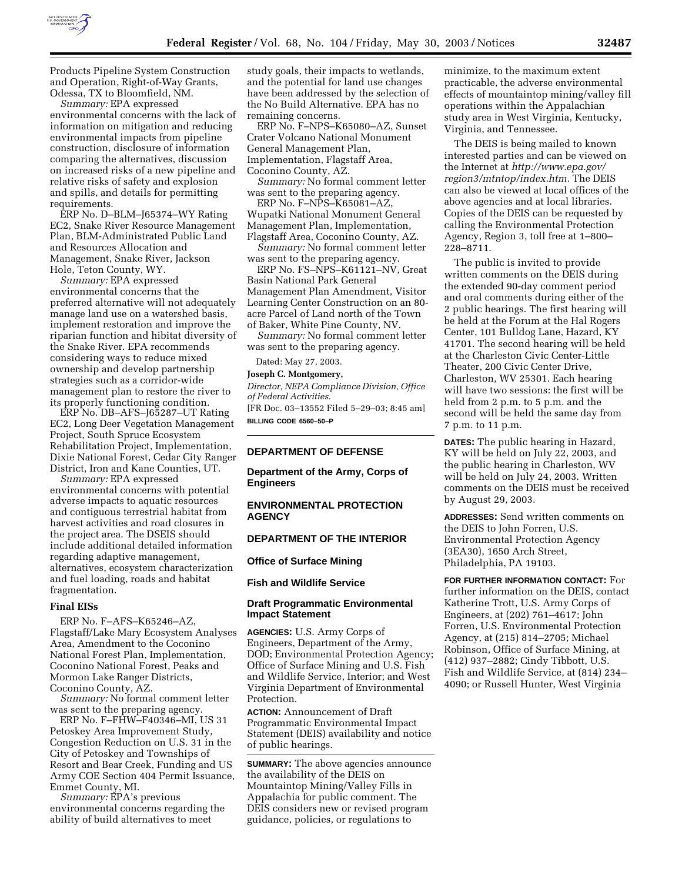

Products Pipeline System Construction and Operation, Right-of-Way Grants, Odessa, TX to Bloomfield, NM.

*Summary:* EPA expressed environmental concerns with the lack of information on mitigation and reducing environmental impacts from pipeline construction, disclosure of information comparing the alternatives, discussion on increased risks of a new pipeline and relative risks of safety and explosion and spills, and details for permitting requirements.

ERP No. D–BLM–J65374–WY Rating EC2, Snake River Resource Management Plan, BLM-Administrated Public Land and Resources Allocation and Management, Snake River, Jackson Hole, Teton County, WY.

*Summary:* EPA expressed environmental concerns that the preferred alternative will not adequately manage land use on a watershed basis, implement restoration and improve the riparian function and hibitat diversity of the Snake River. EPA recommends considering ways to reduce mixed ownership and develop partnership strategies such as a corridor-wide management plan to restore the river to its properly functioning condition.

ERP No. DB–AFS–J65287–UT Rating EC2, Long Deer Vegetation Management Project, South Spruce Ecosystem Rehabilitation Project, Implementation, Dixie National Forest, Cedar City Ranger District, Iron and Kane Counties, UT.

*Summary:* EPA expressed environmental concerns with potential adverse impacts to aquatic resources and contiguous terrestrial habitat from harvest activities and road closures in the project area. The DSEIS should include additional detailed information regarding adaptive management, alternatives, ecosystem characterization and fuel loading, roads and habitat fragmentation.

#### **Final EISs**

ERP No. F–AFS–K65246–AZ, Flagstaff/Lake Mary Ecosystem Analyses Area, Amendment to the Coconino National Forest Plan, Implementation, Coconino National Forest, Peaks and Mormon Lake Ranger Districts, Coconino County, AZ.

*Summary:* No formal comment letter was sent to the preparing agency.

ERP No. F–FHW–F40346–MI, US 31 Petoskey Area Improvement Study, Congestion Reduction on U.S. 31 in the City of Petoskey and Townships of Resort and Bear Creek, Funding and US Army COE Section 404 Permit Issuance, Emmet County, MI.

*Summary:* EPA's previous environmental concerns regarding the ability of build alternatives to meet

study goals, their impacts to wetlands, and the potential for land use changes have been addressed by the selection of the No Build Alternative. EPA has no remaining concerns.

ERP No. F–NPS–K65080–AZ, Sunset Crater Volcano National Monument General Management Plan, Implementation, Flagstaff Area, Coconino County, AZ.

*Summary:* No formal comment letter was sent to the preparing agency.

ERP No. F–NPS–K65081–AZ, Wupatki National Monument General Management Plan, Implementation, Flagstaff Area, Coconino County, AZ.

*Summary:* No formal comment letter was sent to the preparing agency.

ERP No. FS–NPS–K61121–NV, Great Basin National Park General Management Plan Amendment, Visitor Learning Center Construction on an 80 acre Parcel of Land north of the Town of Baker, White Pine County, NV.

*Summary:* No formal comment letter was sent to the preparing agency.

Dated: May 27, 2003.

## **Joseph C. Montgomery,**

*Director, NEPA Compliance Division, Office of Federal Activities.*

[FR Doc. 03–13552 Filed 5–29–03; 8:45 am] **BILLING CODE 6560–50–P**

## **DEPARTMENT OF DEFENSE**

**Department of the Army, Corps of Engineers** 

## **ENVIRONMENTAL PROTECTION AGENCY**

# **DEPARTMENT OF THE INTERIOR**

**Office of Surface Mining** 

**Fish and Wildlife Service** 

## **Draft Programmatic Environmental Impact Statement**

**AGENCIES:** U.S. Army Corps of Engineers, Department of the Army, DOD; Environmental Protection Agency; Office of Surface Mining and U.S. Fish and Wildlife Service, Interior; and West Virginia Department of Environmental Protection.

**ACTION:** Announcement of Draft Programmatic Environmental Impact Statement (DEIS) availability and notice of public hearings.

**SUMMARY:** The above agencies announce the availability of the DEIS on Mountaintop Mining/Valley Fills in Appalachia for public comment. The DEIS considers new or revised program guidance, policies, or regulations to

minimize, to the maximum extent practicable, the adverse environmental effects of mountaintop mining/valley fill operations within the Appalachian study area in West Virginia, Kentucky, Virginia, and Tennessee.

The DEIS is being mailed to known interested parties and can be viewed on the Internet at *http://www.epa.gov/ region3/mtntop/index.htm.* The DEIS can also be viewed at local offices of the above agencies and at local libraries. Copies of the DEIS can be requested by calling the Environmental Protection Agency, Region 3, toll free at 1–800– 228–8711.

The public is invited to provide written comments on the DEIS during the extended 90-day comment period and oral comments during either of the 2 public hearings. The first hearing will be held at the Forum at the Hal Rogers Center, 101 Bulldog Lane, Hazard, KY 41701. The second hearing will be held at the Charleston Civic Center-Little Theater, 200 Civic Center Drive, Charleston, WV 25301. Each hearing will have two sessions: the first will be held from 2 p.m. to 5 p.m. and the second will be held the same day from 7 p.m. to 11 p.m.

**DATES:** The public hearing in Hazard, KY will be held on July 22, 2003, and the public hearing in Charleston, WV will be held on July 24, 2003. Written comments on the DEIS must be received by August 29, 2003.

**ADDRESSES:** Send written comments on the DEIS to John Forren, U.S. Environmental Protection Agency (3EA30), 1650 Arch Street, Philadelphia, PA 19103.

**FOR FURTHER INFORMATION CONTACT:** For further information on the DEIS, contact Katherine Trott, U.S. Army Corps of Engineers, at (202) 761–4617; John Forren, U.S. Environmental Protection Agency, at (215) 814–2705; Michael Robinson, Office of Surface Mining, at (412) 937–2882; Cindy Tibbott, U.S. Fish and Wildlife Service, at (814) 234– 4090; or Russell Hunter, West Virginia